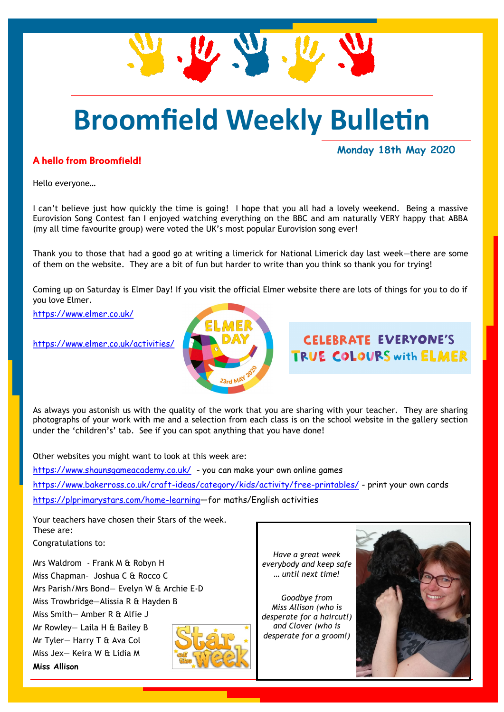

# **Broomfield Weekly Bulletin**

#### A hello from Broomfield!

**Monday 18th May 2020**

Hello everyone…

I can't believe just how quickly the time is going! I hope that you all had a lovely weekend. Being a massive Eurovision Song Contest fan I enjoyed watching everything on the BBC and am naturally VERY happy that ABBA (my all time favourite group) were voted the UK's most popular Eurovision song ever!

Thank you to those that had a good go at writing a limerick for National Limerick day last week—there are some of them on the website. They are a bit of fun but harder to write than you think so thank you for trying!

Coming up on Saturday is Elmer Day! If you visit the official Elmer website there are lots of things for you to do if you love Elmer.

<https://www.elmer.co.uk/>

<https://www.elmer.co.uk/activities/>



### **CELERRATE EVERYONE'S** TRUE COLOURS with ELMER

As always you astonish us with the quality of the work that you are sharing with your teacher. They are sharing photographs of your work with me and a selection from each class is on the school website in the gallery section under the 'children's' tab. See if you can spot anything that you have done!

Other websites you might want to look at this week are: <https://www.shaunsgameacademy.co.uk/>- you can make your own online games <https://www.bakerross.co.uk/craft-ideas/category/kids/activity/free-printables/> - print your own cards <https://plprimarystars.com/home-learning>—for maths/English activities

Your teachers have chosen their Stars of the week. These are:

Congratulations to:

Mrs Waldrom - Frank M & Robyn H Miss Chapman– Joshua C & Rocco C Mrs Parish/Mrs Bond— Evelyn W & Archie E-D Miss Trowbridge—Alissia R & Hayden B Miss Smith— Amber R & Alfie J Mr Rowley— Laila H & Bailey B Mr Tyler— Harry T & Ava Col Miss Jex— Keira W & Lidia M **Miss Allison**



*Have a great week everybody and keep safe … until next time!*

*Goodbye from Miss Allison (who is desperate for a haircut!) and Clover (who is desperate for a groom!)*